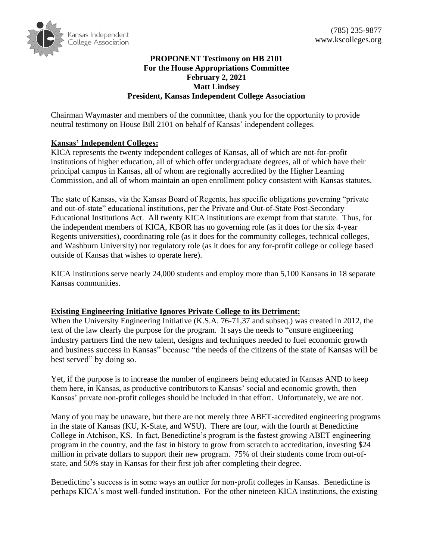

## **PROPONENT Testimony on HB 2101 For the House Appropriations Committee February 2, 2021 Matt Lindsey President, Kansas Independent College Association**

Chairman Waymaster and members of the committee, thank you for the opportunity to provide neutral testimony on House Bill 2101 on behalf of Kansas' independent colleges.

# **Kansas' Independent Colleges:**

KICA represents the twenty independent colleges of Kansas, all of which are not-for-profit institutions of higher education, all of which offer undergraduate degrees, all of which have their principal campus in Kansas, all of whom are regionally accredited by the Higher Learning Commission, and all of whom maintain an open enrollment policy consistent with Kansas statutes.

The state of Kansas, via the Kansas Board of Regents, has specific obligations governing "private and out-of-state" educational institutions, per the Private and Out-of-State Post-Secondary Educational Institutions Act. All twenty KICA institutions are exempt from that statute. Thus, for the independent members of KICA, KBOR has no governing role (as it does for the six 4-year Regents universities), coordinating role (as it does for the community colleges, technical colleges, and Washburn University) nor regulatory role (as it does for any for-profit college or college based outside of Kansas that wishes to operate here).

KICA institutions serve nearly 24,000 students and employ more than 5,100 Kansans in 18 separate Kansas communities.

### **Existing Engineering Initiative Ignores Private College to its Detriment:**

When the University Engineering Initiative (K.S.A. 76-71,37 and subseq.) was created in 2012, the text of the law clearly the purpose for the program. It says the needs to "ensure engineering industry partners find the new talent, designs and techniques needed to fuel economic growth and business success in Kansas" because "the needs of the citizens of the state of Kansas will be best served" by doing so.

Yet, if the purpose is to increase the number of engineers being educated in Kansas AND to keep them here, in Kansas, as productive contributors to Kansas' social and economic growth, then Kansas' private non-profit colleges should be included in that effort. Unfortunately, we are not.

Many of you may be unaware, but there are not merely three ABET-accredited engineering programs in the state of Kansas (KU, K-State, and WSU). There are four, with the fourth at Benedictine College in Atchison, KS. In fact, Benedictine's program is the fastest growing ABET engineering program in the country, and the fast in history to grow from scratch to accreditation, investing \$24 million in private dollars to support their new program. 75% of their students come from out-ofstate, and 50% stay in Kansas for their first job after completing their degree.

Benedictine's success is in some ways an outlier for non-profit colleges in Kansas. Benedictine is perhaps KICA's most well-funded institution. For the other nineteen KICA institutions, the existing